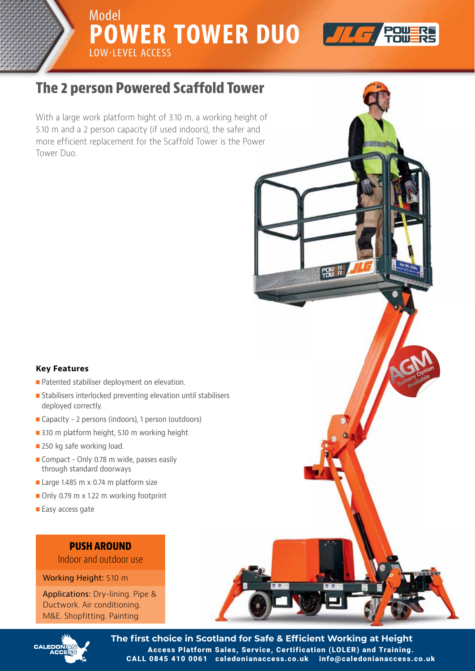Model **POWER TOWER DUO** LOW-LEVEL ACCESS Model<br>**POWER TOWER DIIO LOWEV** 



**POWER** 

**The 2 person Powered Scaffold Tower The 2 person Powered Scaffold Tower**

Model

5.10 m and a 2 person capacity (if used indoors), the safer and more efficient replacement for the Scaffold Tower is the Power more efficient for the Scaffold Tower is the Scaffold Tower is the Scaffold Tower is the Power is the Power is the Power is the Power is the Power is the Power is the Power is the Power is the Power is the Power is the Pow With a large work platform hight of 3.10 m, a working height of

## **Key Features**

- Patented stabiliser deployment on elevation.
- Stabilisers interlocked preventing elevation until stabilisers deployed correctly.
- Capacity 2 persons (indoors), 1 person (outdoors)
- 3.10 m platform height, 5.10 m working height
- 250 kg safe working load.
- Compact Only 0.78 m wide, passes easily through standard doorways
- Large 1.485 m x 0.74 m platform size
- Only 0.79 m x 1.22 m working footprint
- Easy access gate

# **PUSH AROUND**

Indoor and outdoor use

**Working Height:** 5.10 m

Ductwork. Air conditioning. M&E. Shopfitting. Painting. Applications: Dry-lining. Pipe &



**The first choice in Scotland for Safe & Efficient Working at Height** Access Platform Sales, Service, Certification (LOLER) and Training. CALL 0845 410 0061 caledonianaccess.co.uk info@caledonianaccess.co.uk